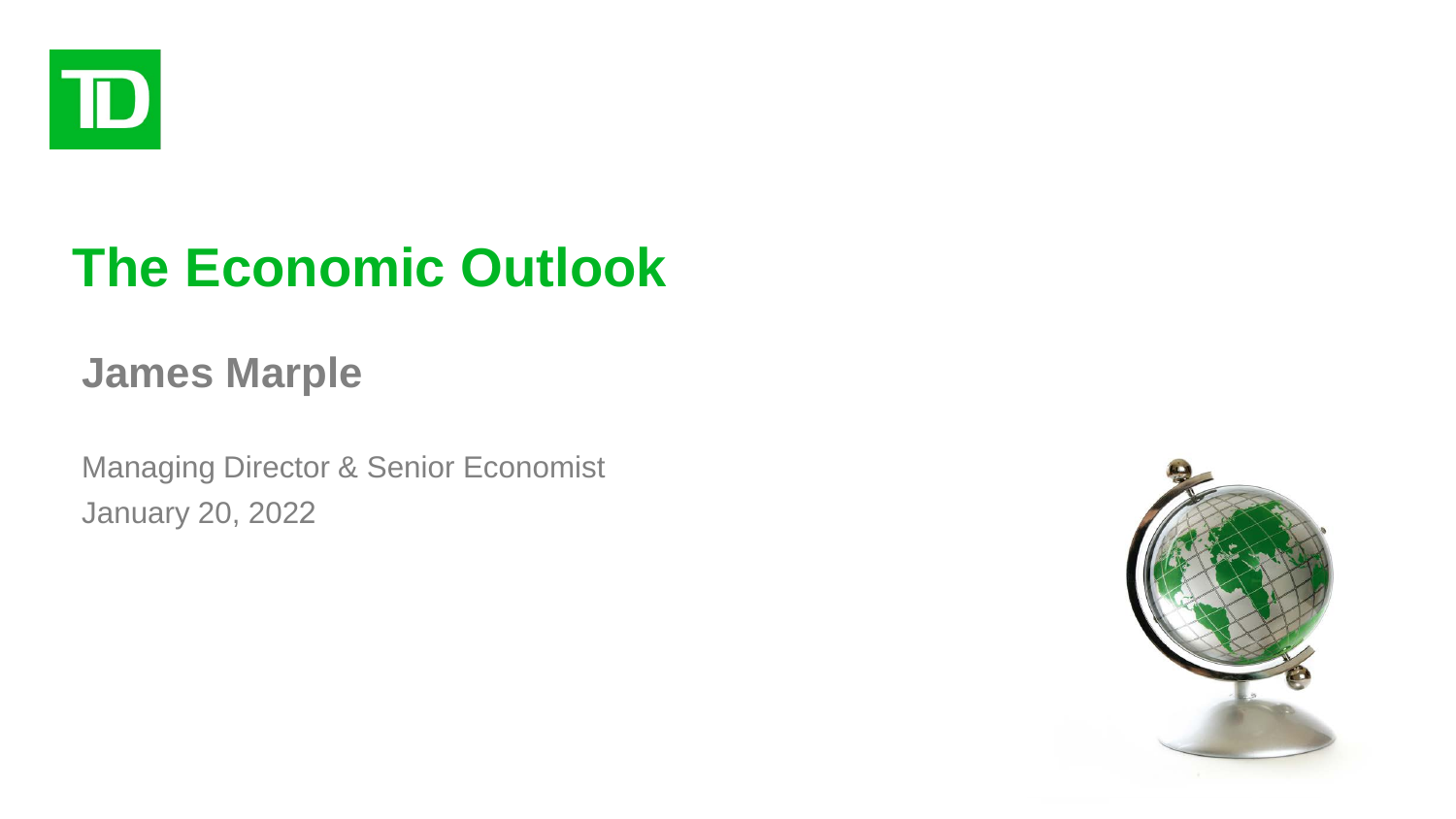

# **The Economic Outlook**

#### **James Marple**

Managing Director & Senior Economist January 20, 2022

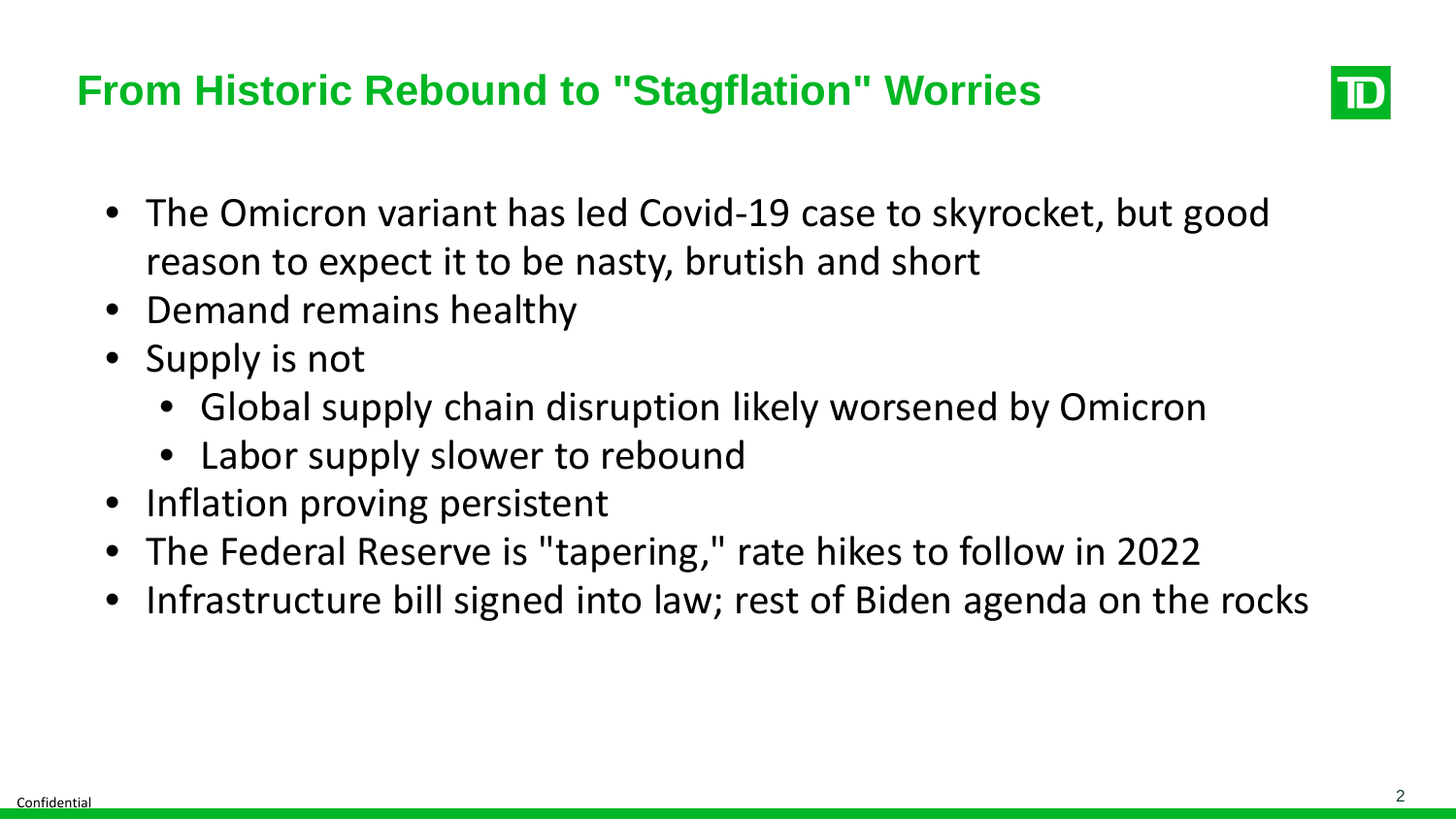#### **From Historic Rebound to "Stagflation" Worries**



- The Omicron variant has led Covid-19 case to skyrocket, but good reason to expect it to be nasty, brutish and short
- Demand remains healthy
- Supply is not
	- Global supply chain disruption likely worsened by Omicron
	- Labor supply slower to rebound
- Inflation proving persistent
- The Federal Reserve is "tapering," rate hikes to follow in 2022
- Infrastructure bill signed into law; rest of Biden agenda on the rocks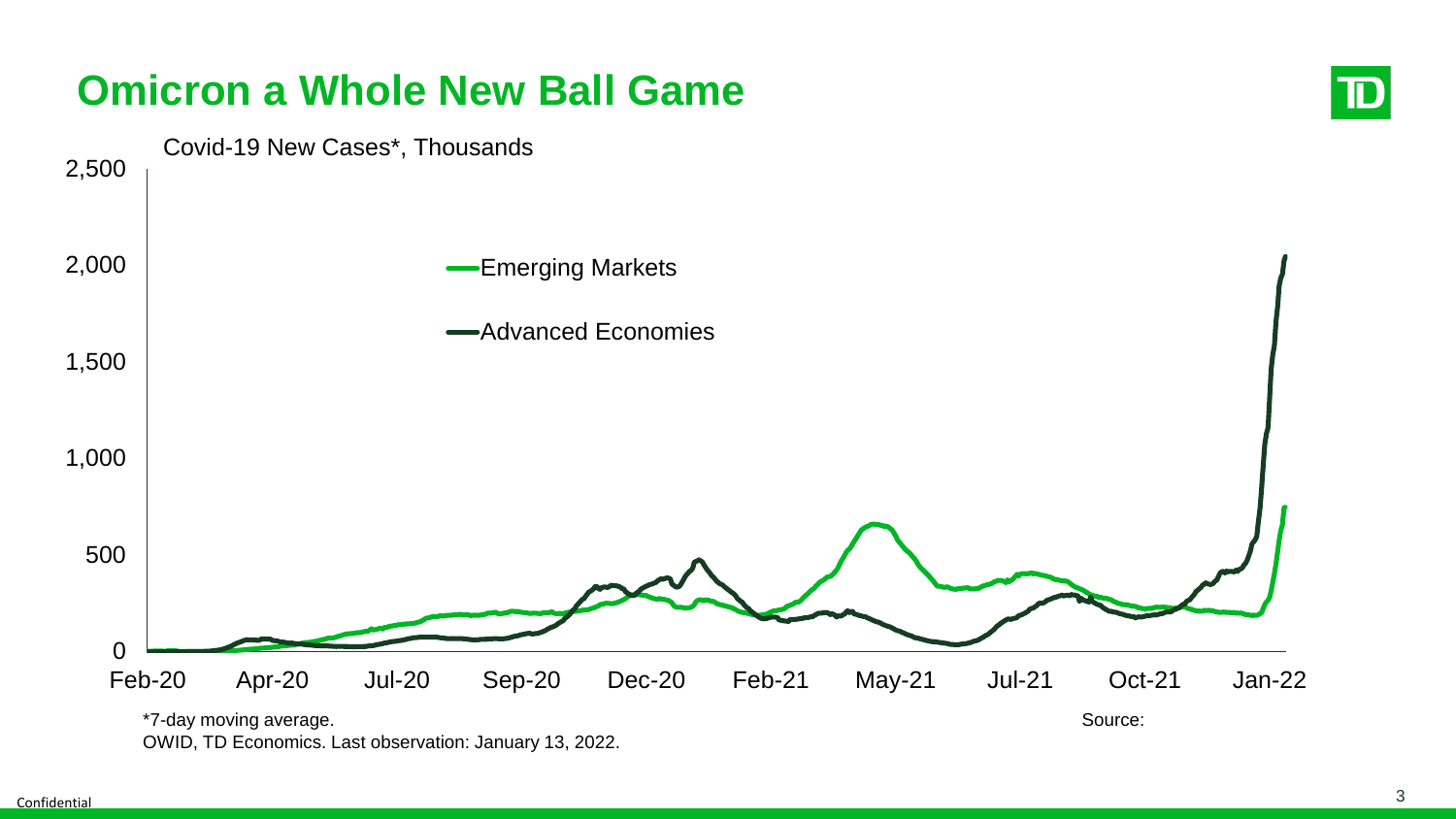

OWID, TD Economics. Last observation: January 13, 2022.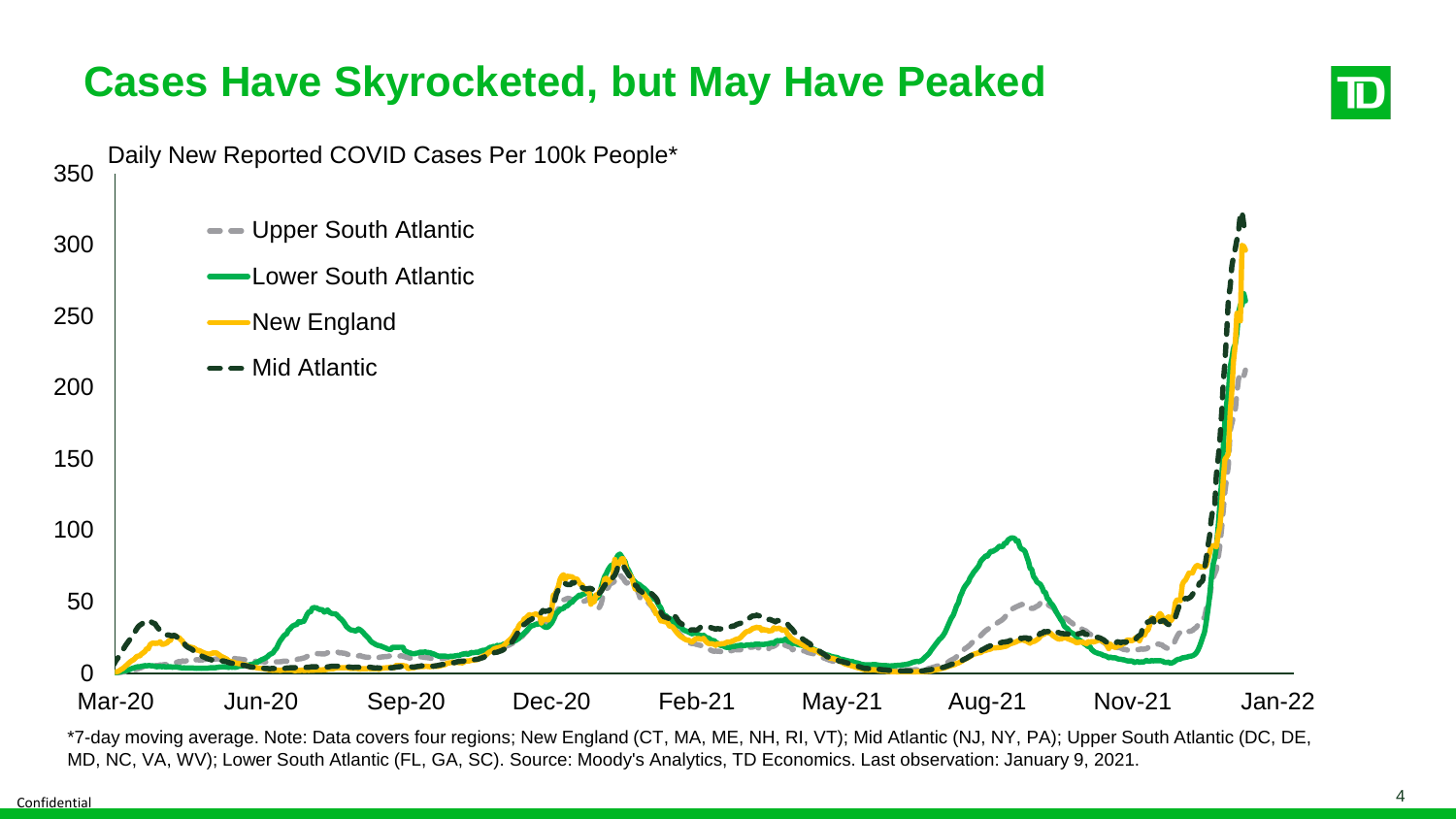## **Cases Have Skyrocketed, but May Have Peaked**



\*7-day moving average. Note: Data covers four regions; New England (CT, MA, ME, NH, RI, VT); Mid Atlantic (NJ, NY, PA); Upper South Atlantic (DC, DE, MD, NC, VA, WV); Lower South Atlantic (FL, GA, SC). Source: Moody's Analytics, TD Economics. Last observation: January 9, 2021.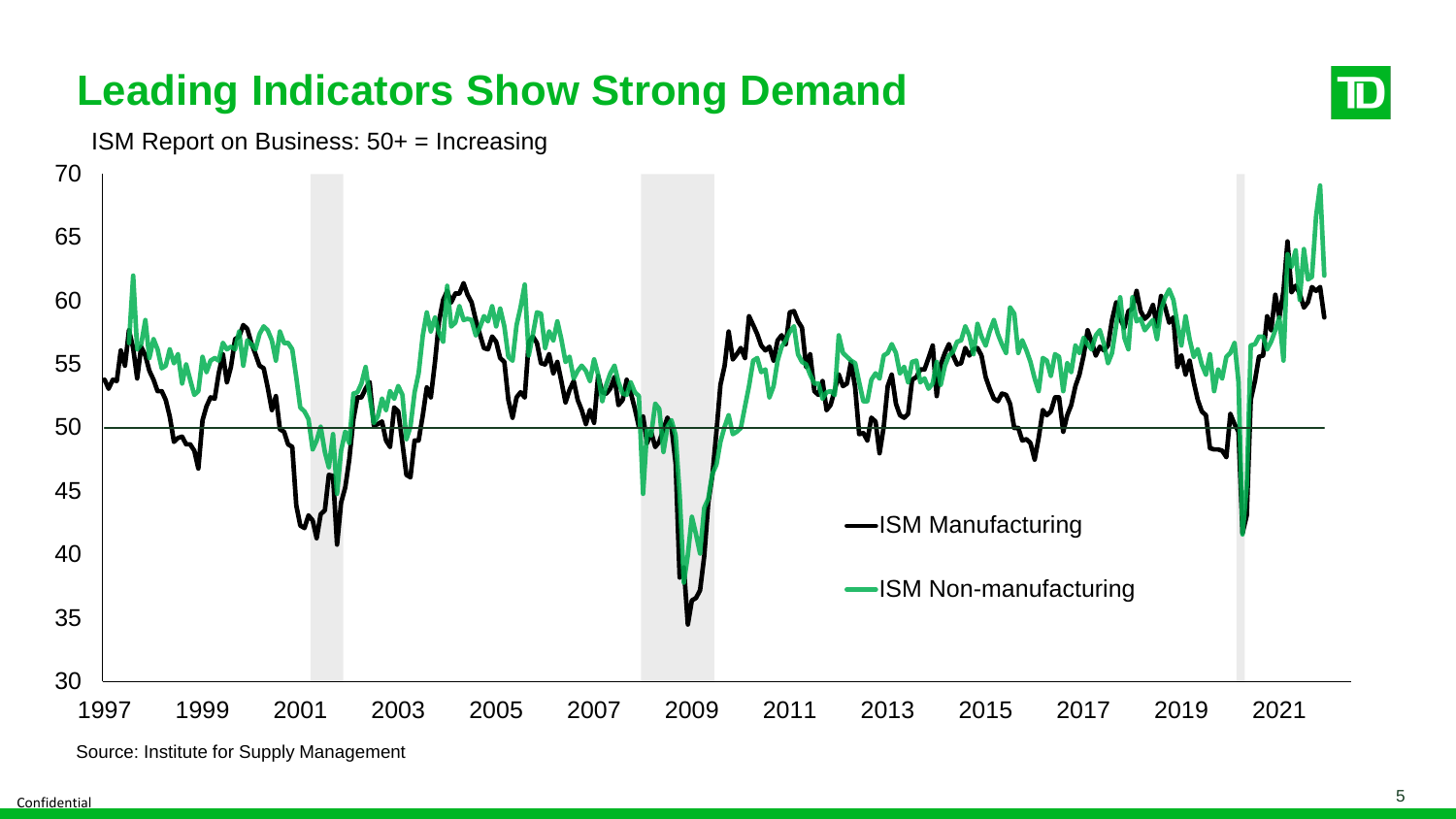# **Leading Indicators Show Strong Demand**



ISM Report on Business: 50+ = Increasing



Source: Institute for Supply Management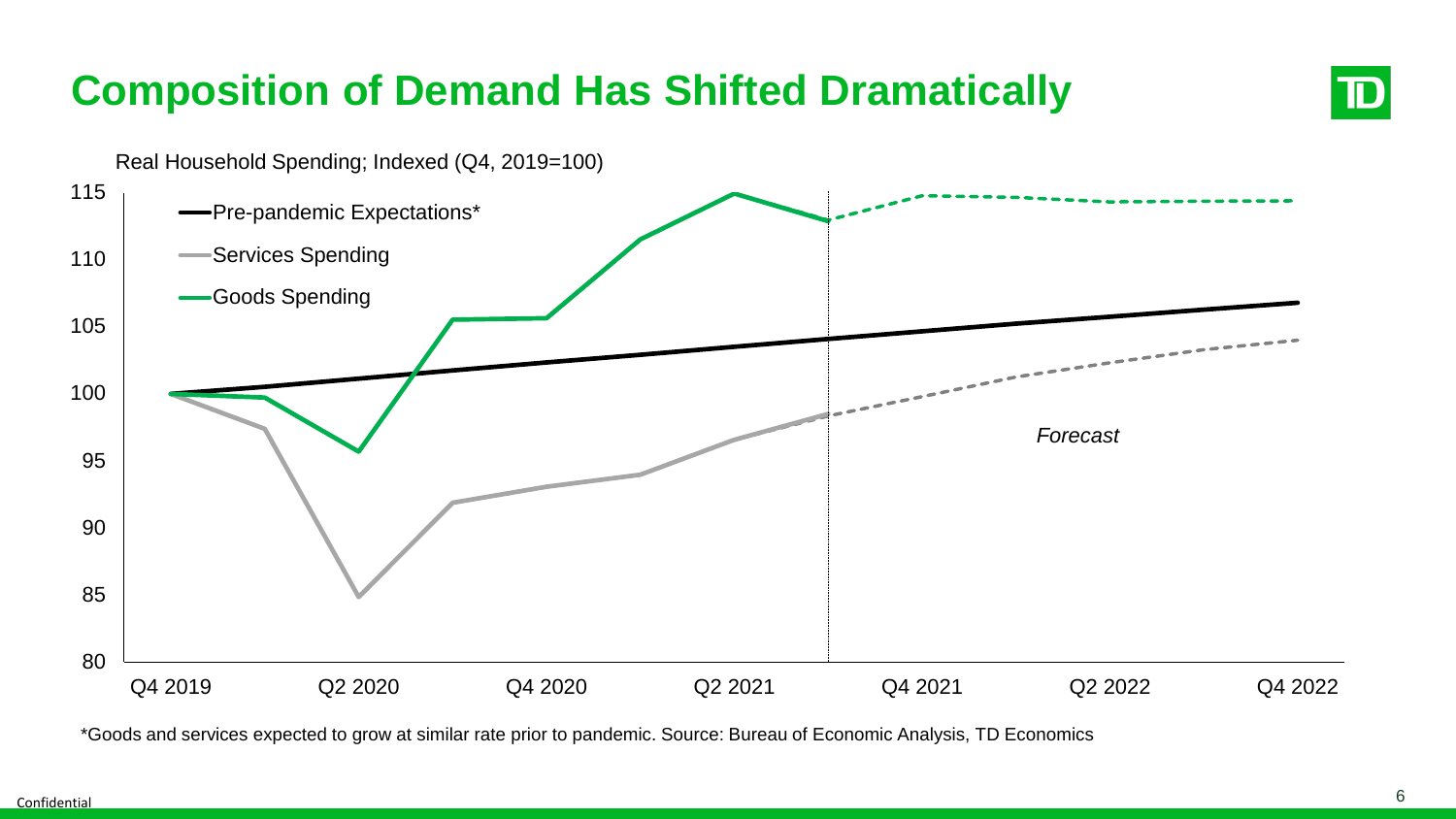## **Composition of Demand Has Shifted Dramatically**



\*Goods and services expected to grow at similar rate prior to pandemic. Source: Bureau of Economic Analysis, TD Economics

TD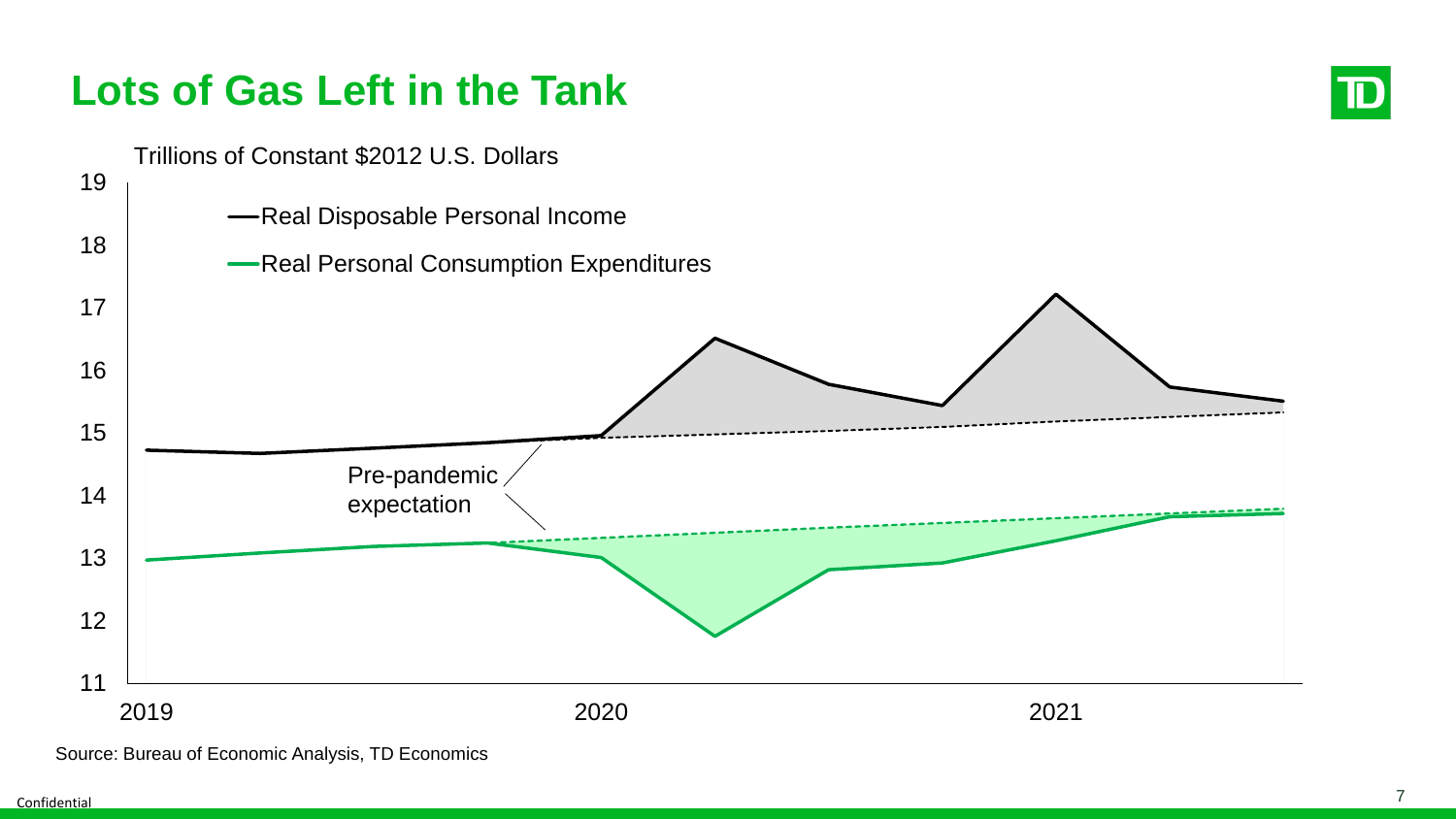

Source: Bureau of Economic Analysis, TD Economics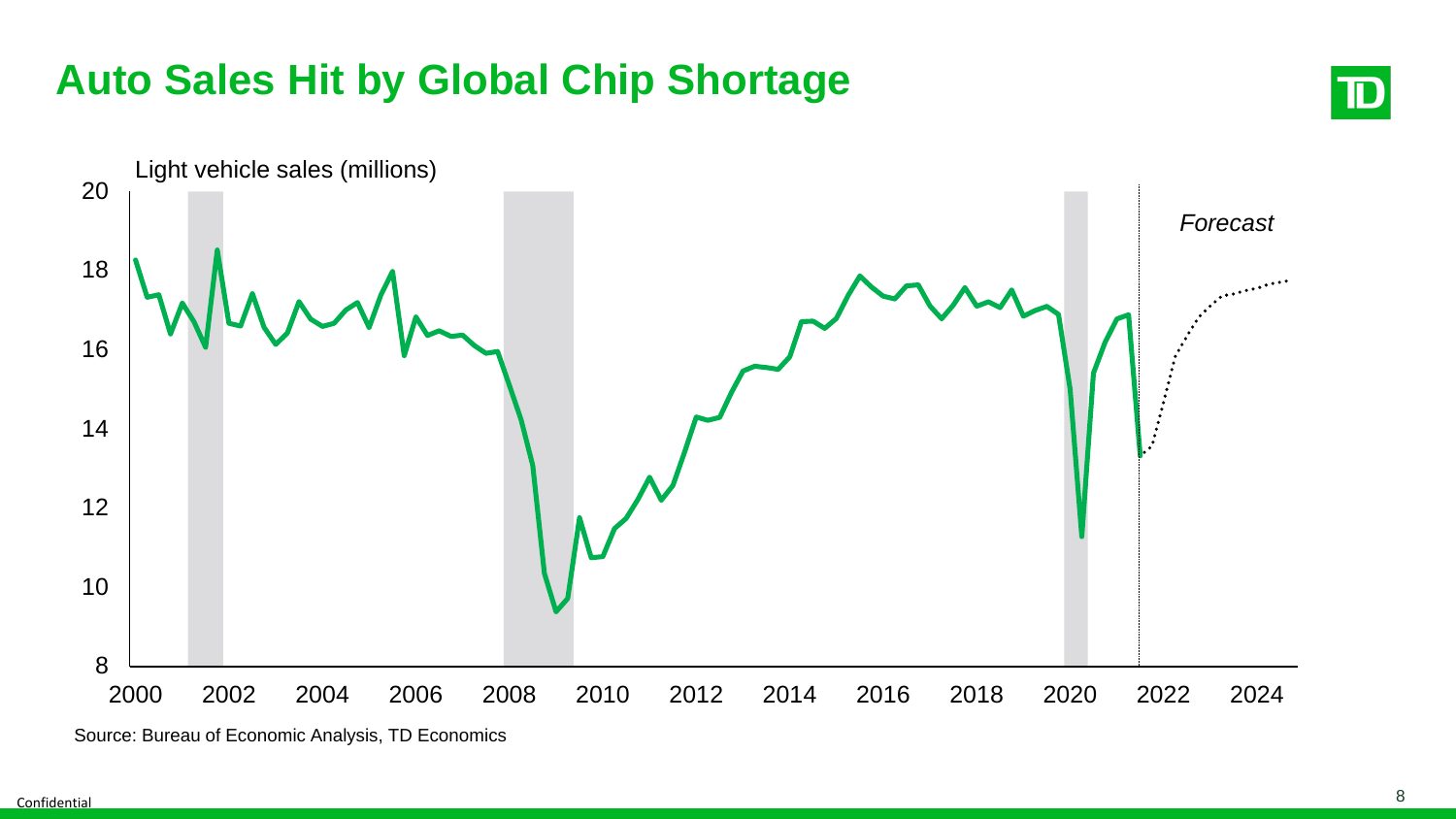# **Auto Sales Hit by Global Chip Shortage**





Source: Bureau of Economic Analysis, TD Economics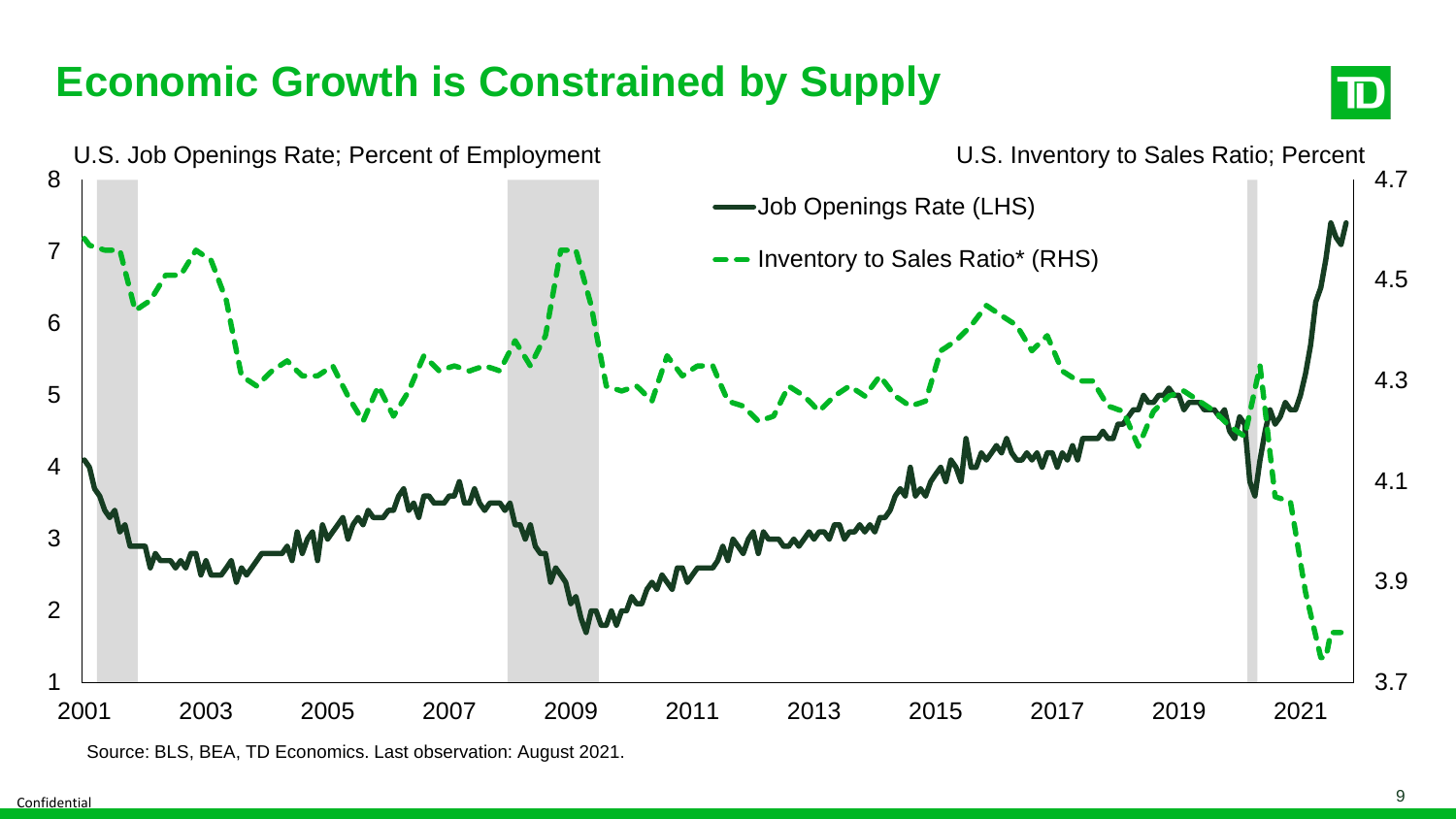# **Economic Growth is Constrained by Supply**





Source: BLS, BEA, TD Economics. Last observation: August 2021.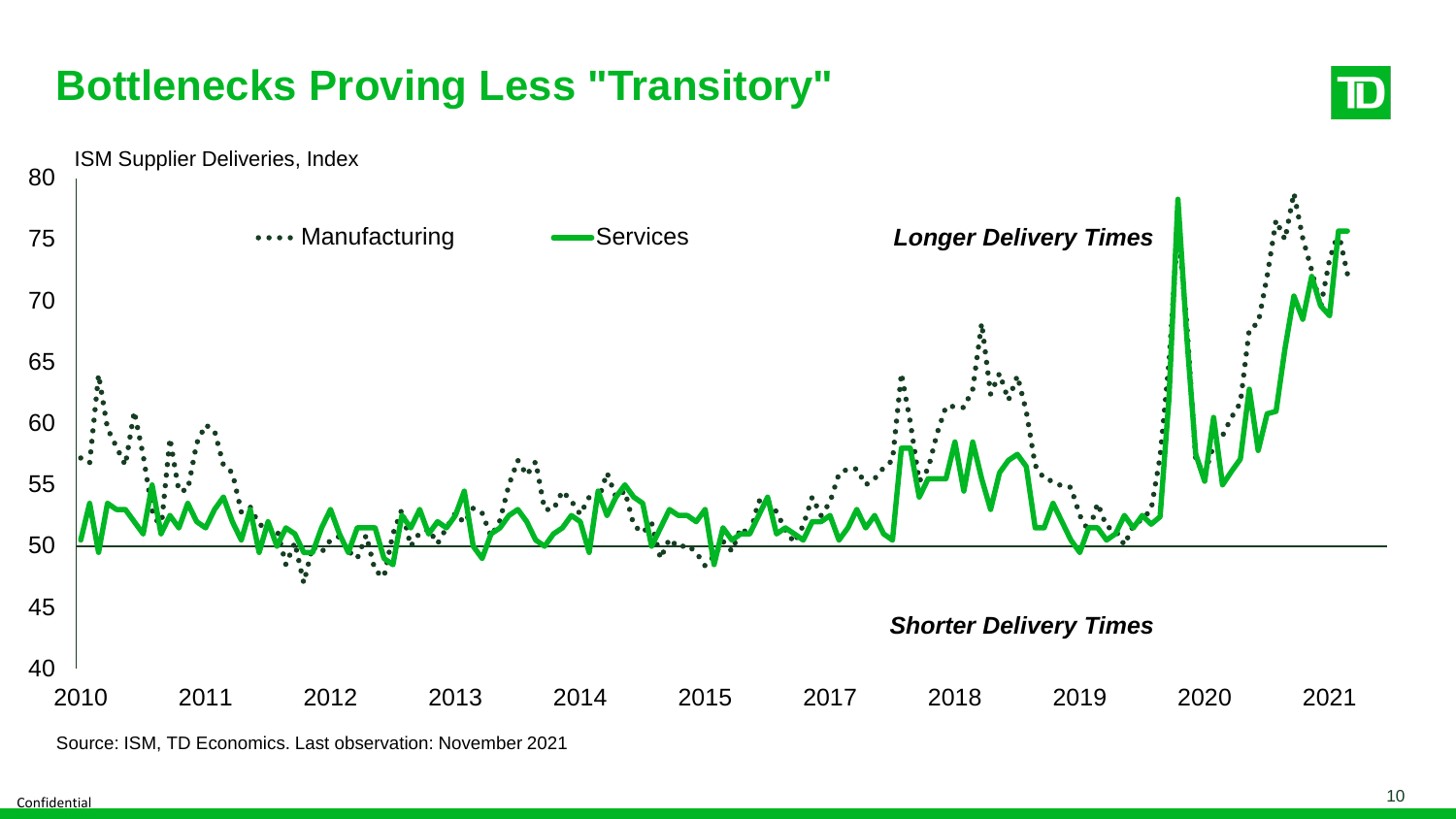## **Bottlenecks Proving Less "Transitory"**





Source: ISM, TD Economics. Last observation: November 2021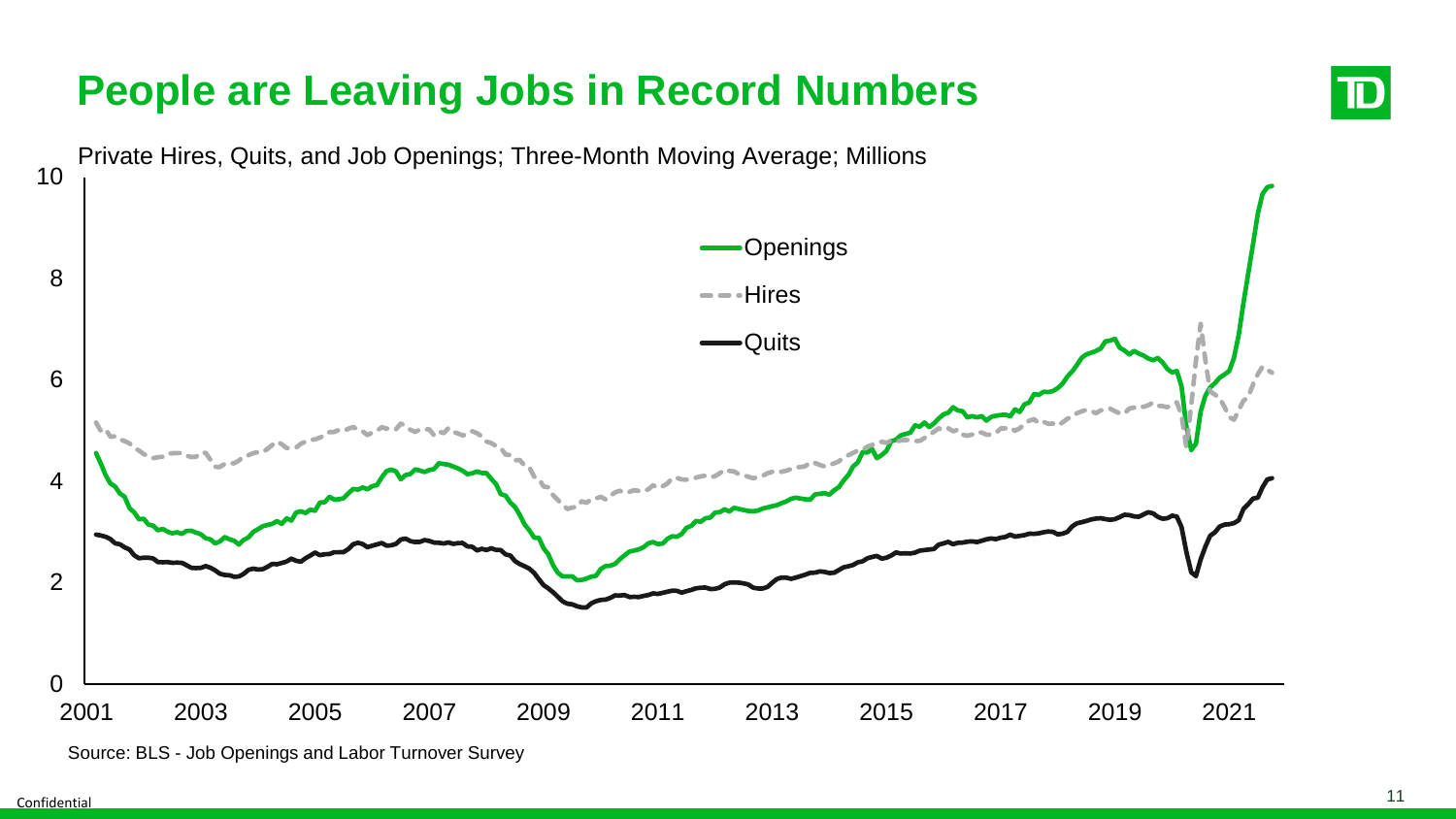

#### **People are Leaving Jobs in Record Numbers**

ID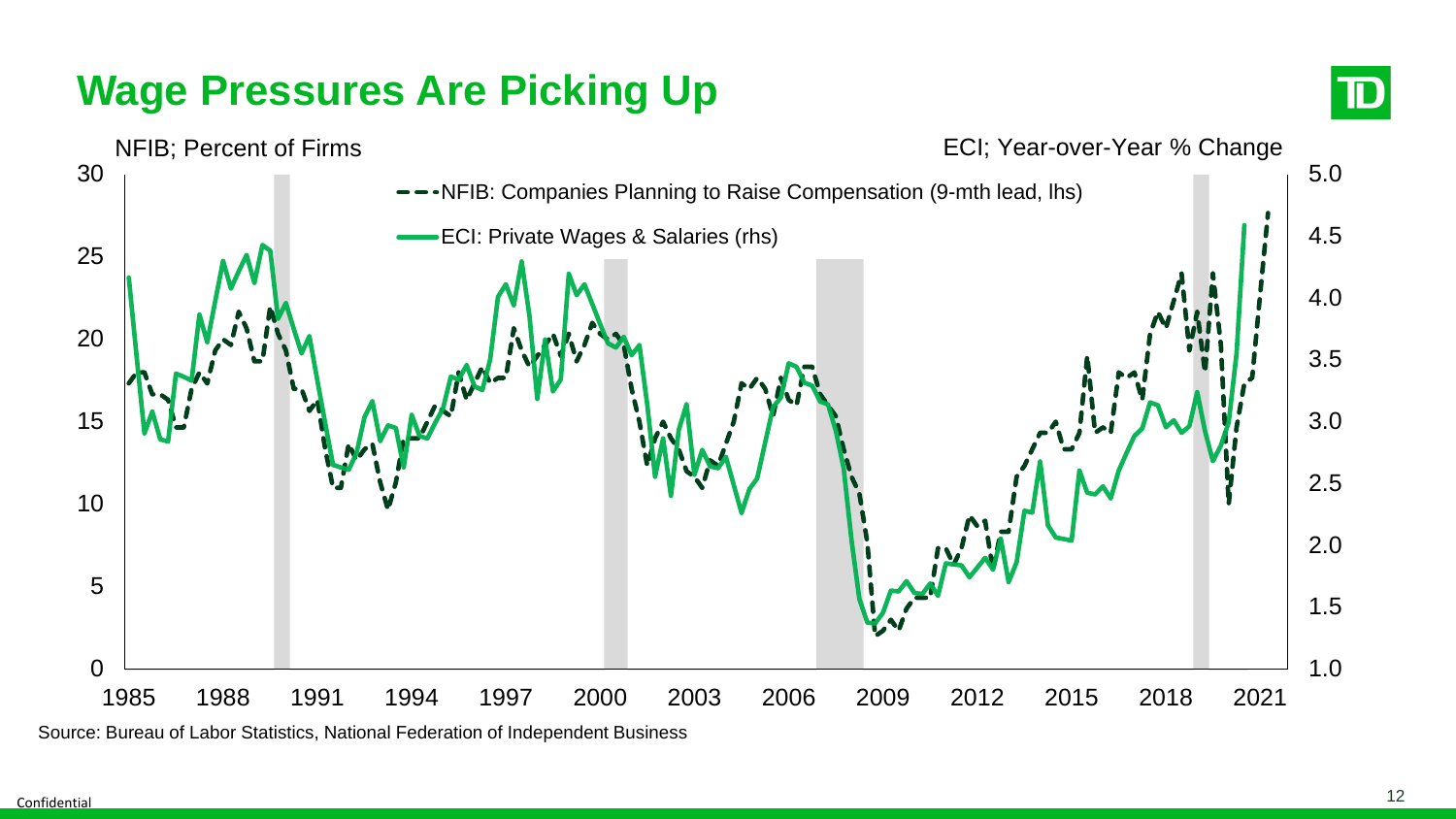## **Wage Pressures Are Picking Up**





Source: Bureau of Labor Statistics, National Federation of Independent Business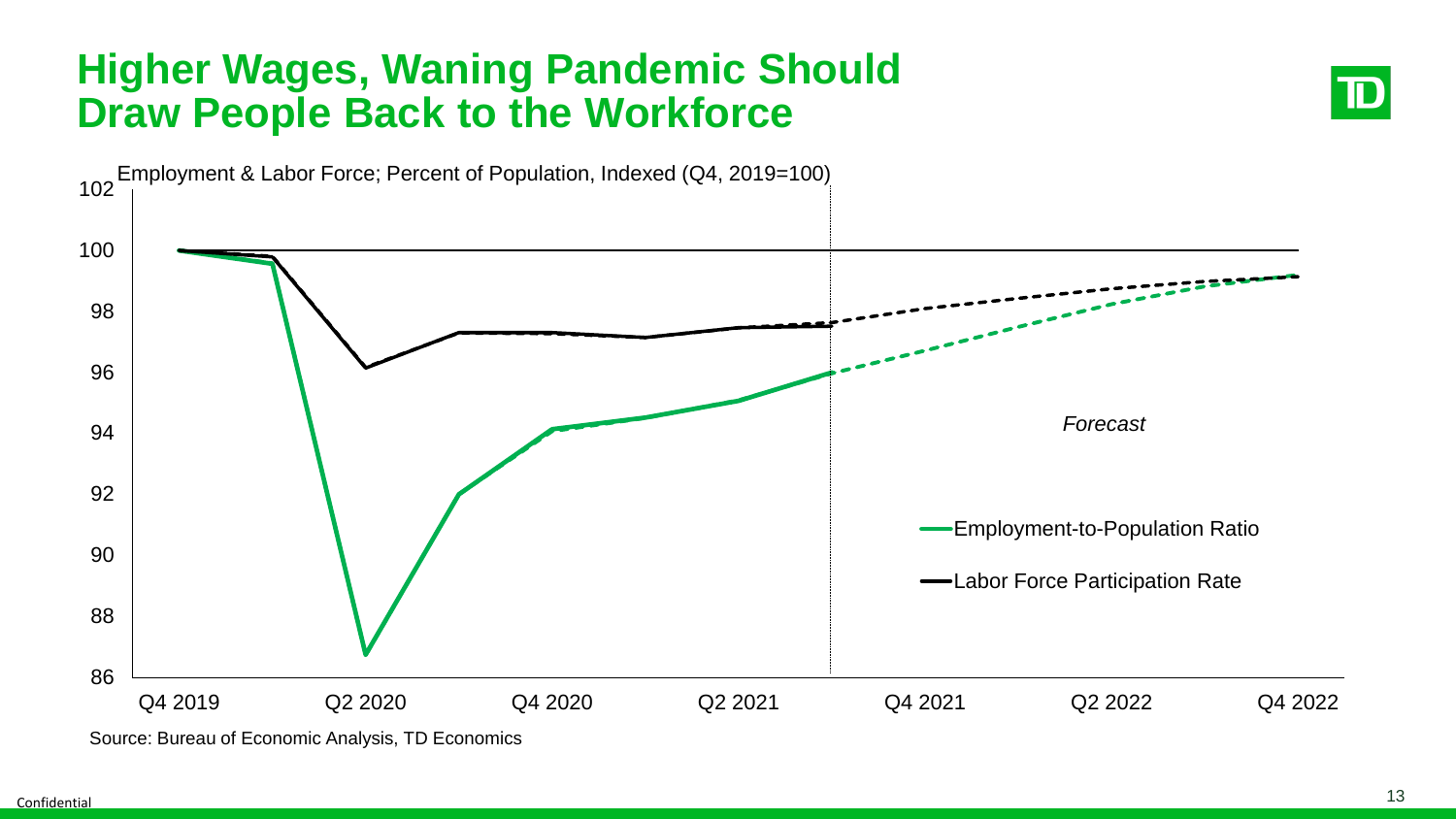#### **Higher Wages, Waning Pandemic Should Draw People Back to the Workforce**





Source: Bureau of Economic Analysis, TD Economics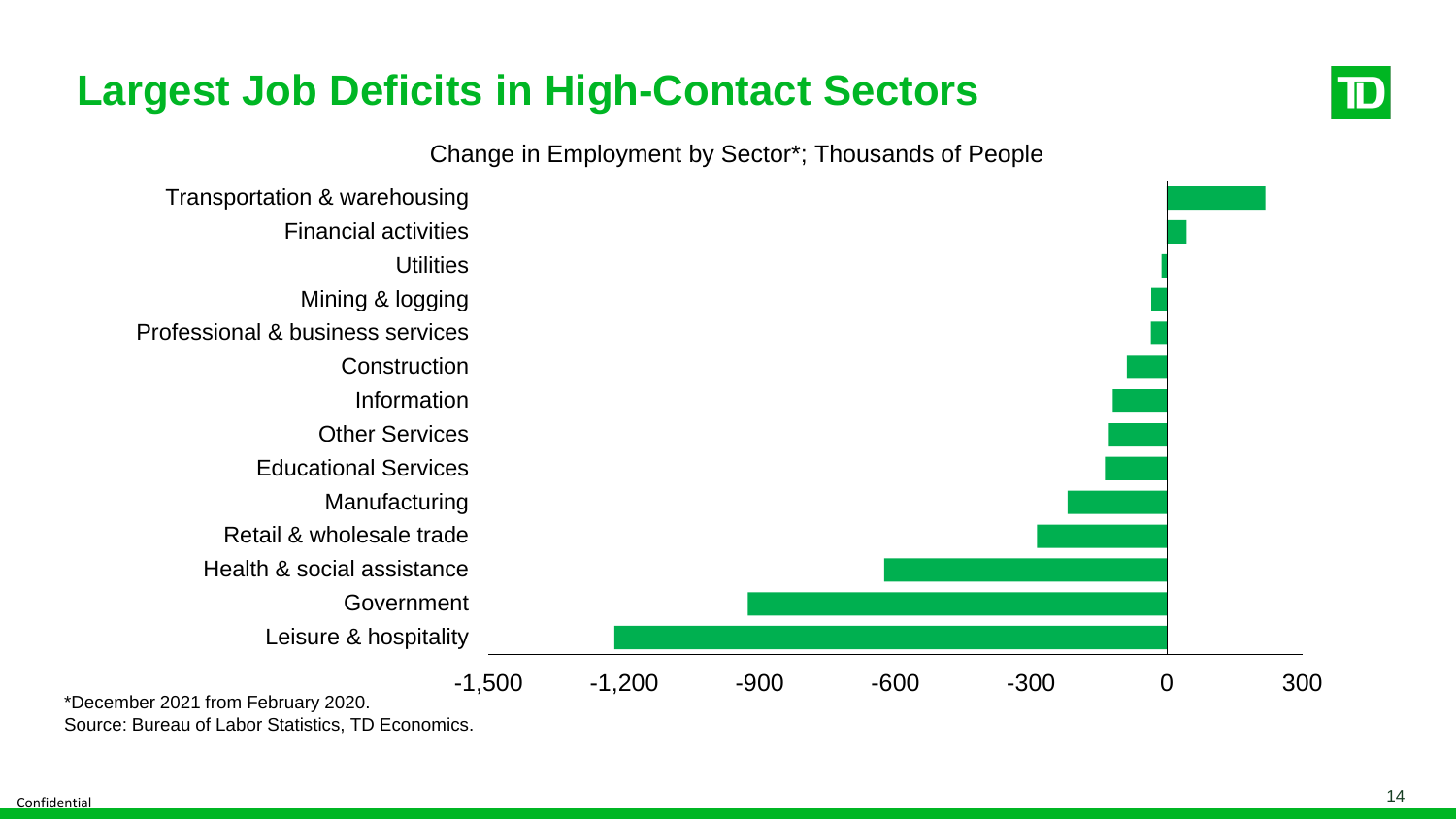

#### **Largest Job Deficits in High-Contact Sectors**

Change in Employment by Sector\*; Thousands of People



Source: Bureau of Labor Statistics, TD Economics.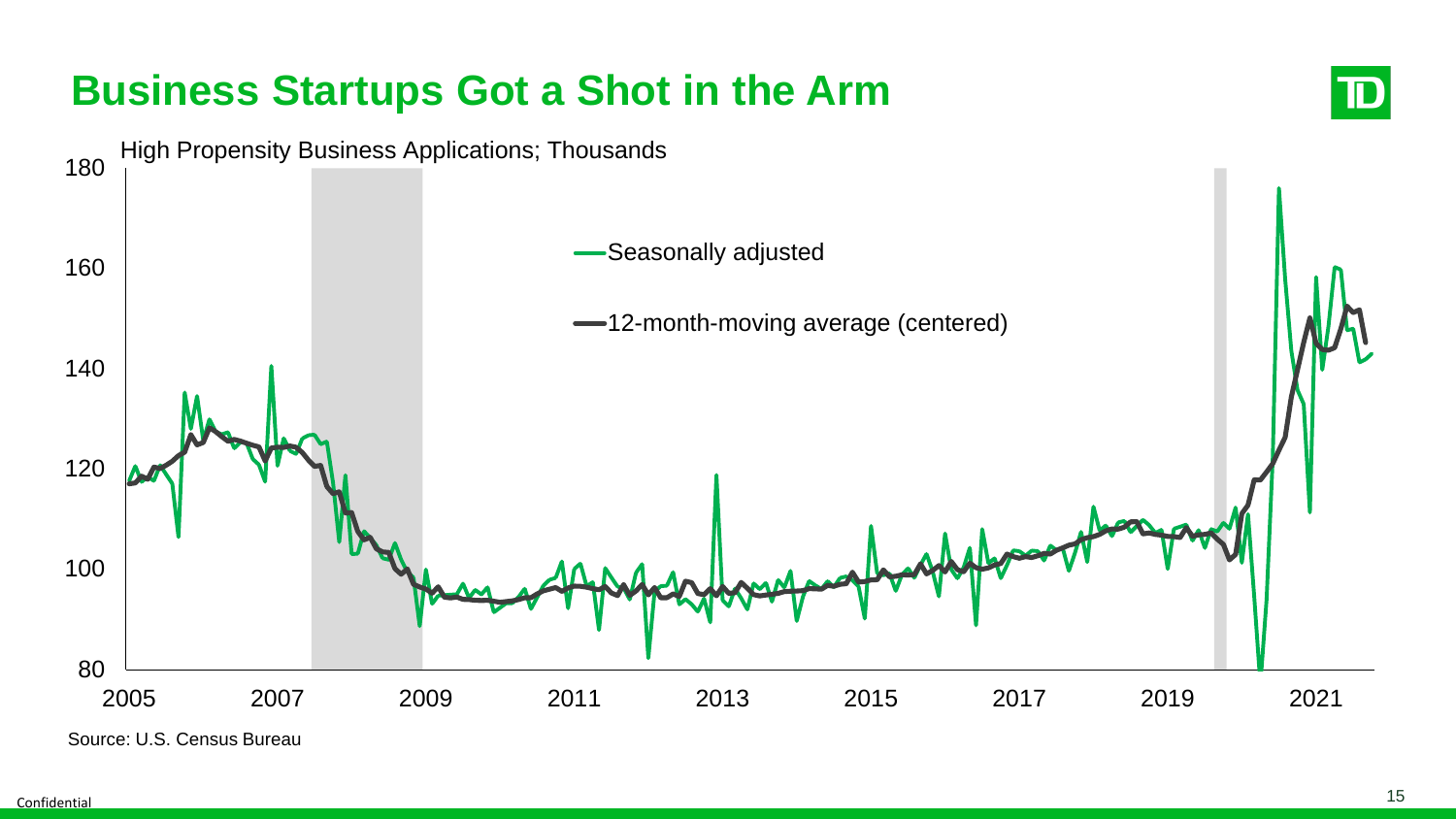

Source: U.S. Census Bureau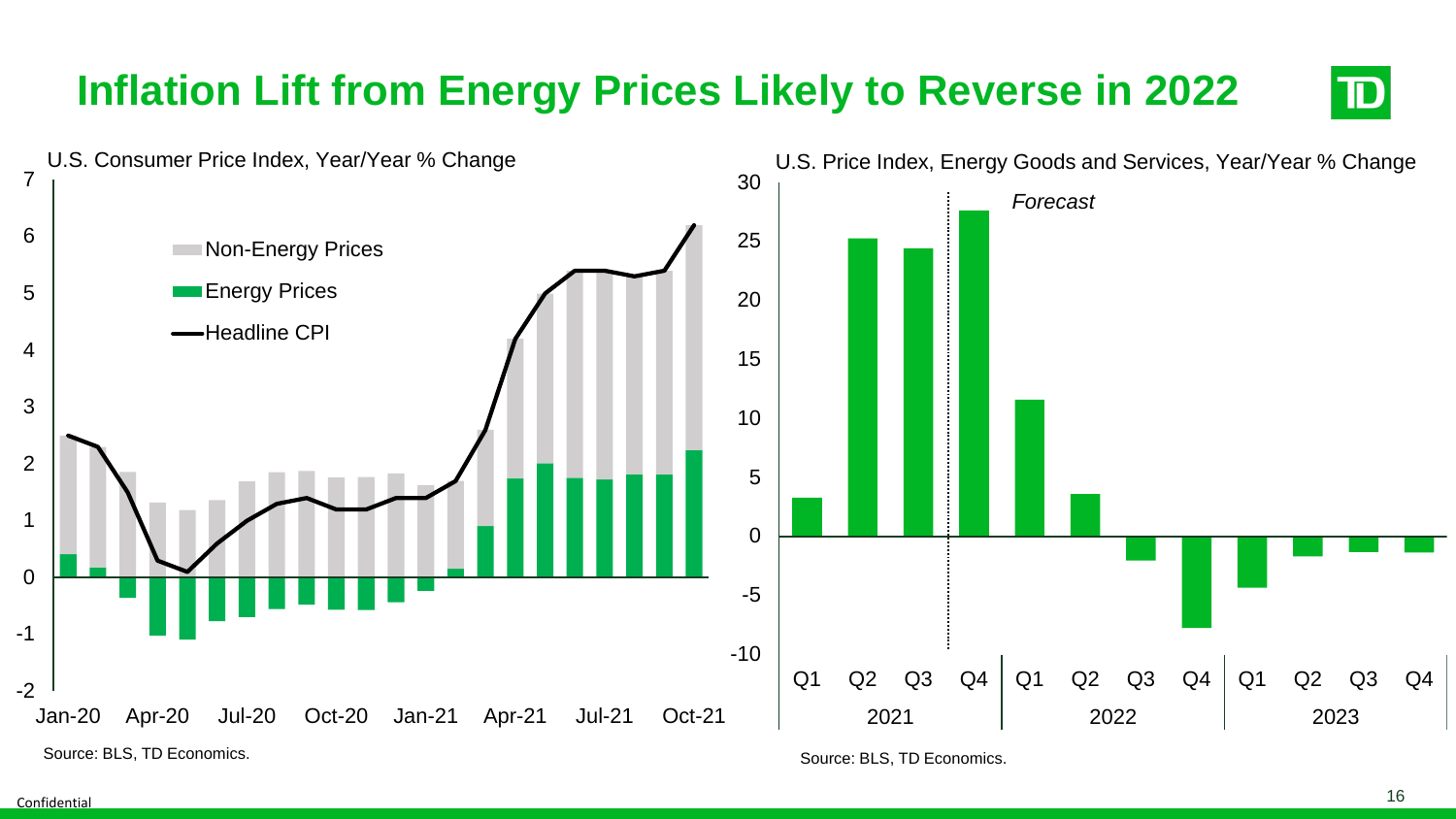#### **Inflation Lift from Energy Prices Likely to Reverse in 2022**  $\mathbf{D}% _{T}=\mathbf{D}_{T}\times\mathbf{D}_{T}$ U.S. Consumer Price Index, Year/Year % Change U.S. Price Index, Energy Goods and Services, Year/Year % Change 30

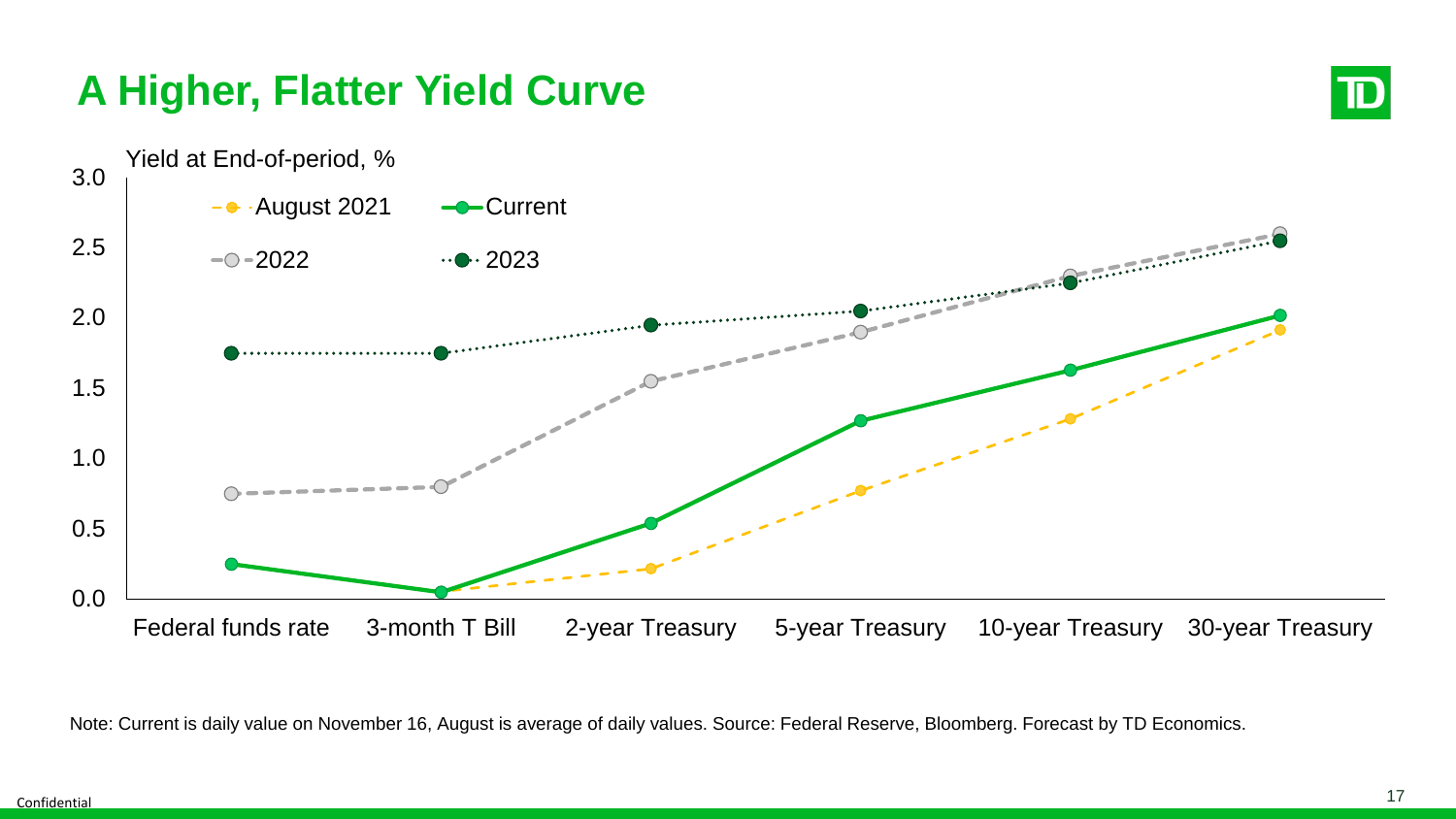### **A Higher, Flatter Yield Curve**





Note: Current is daily value on November 16, August is average of daily values. Source: Federal Reserve, Bloomberg. Forecast by TD Economics.